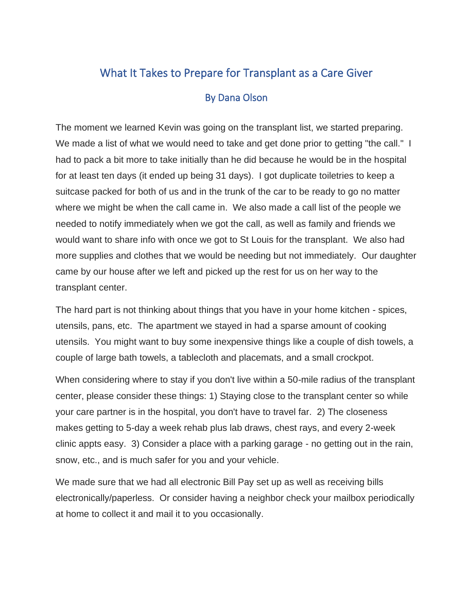## What It Takes to Prepare for Transplant as a Care Giver By Dana Olson

The moment we learned Kevin was going on the transplant list, we started preparing. We made a list of what we would need to take and get done prior to getting "the call." I had to pack a bit more to take initially than he did because he would be in the hospital for at least ten days (it ended up being 31 days). I got duplicate toiletries to keep a suitcase packed for both of us and in the trunk of the car to be ready to go no matter where we might be when the call came in. We also made a call list of the people we needed to notify immediately when we got the call, as well as family and friends we would want to share info with once we got to St Louis for the transplant. We also had more supplies and clothes that we would be needing but not immediately. Our daughter came by our house after we left and picked up the rest for us on her way to the transplant center.

The hard part is not thinking about things that you have in your home kitchen - spices, utensils, pans, etc. The apartment we stayed in had a sparse amount of cooking utensils. You might want to buy some inexpensive things like a couple of dish towels, a couple of large bath towels, a tablecloth and placemats, and a small crockpot.

When considering where to stay if you don't live within a 50-mile radius of the transplant center, please consider these things: 1) Staying close to the transplant center so while your care partner is in the hospital, you don't have to travel far. 2) The closeness makes getting to 5-day a week rehab plus lab draws, chest rays, and every 2-week clinic appts easy. 3) Consider a place with a parking garage - no getting out in the rain, snow, etc., and is much safer for you and your vehicle.

We made sure that we had all electronic Bill Pay set up as well as receiving bills electronically/paperless. Or consider having a neighbor check your mailbox periodically at home to collect it and mail it to you occasionally.